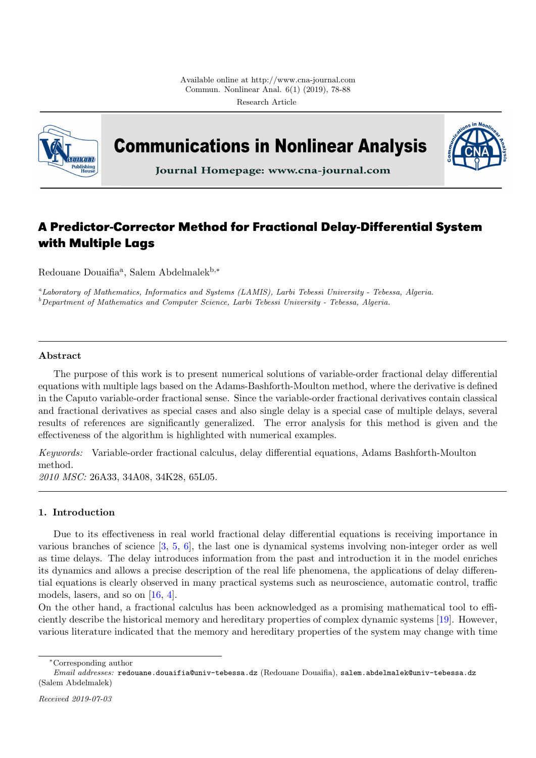

**Communications in Nonlinear Analysis** 



Journal Homepage: www.cna-journal.com

# **A Predictor-Corrector Method for Fractional Delay-Differential System with Multiple Lags**

Redouane Douaifia<sup>a</sup>, Salem Abdelmalek<sup>b,\*</sup>

<sup>a</sup>Laboratory of Mathematics, Informatics and Systems (LAMIS), Larbi Tebessi University - Tebessa, Algeria.  $b$ Department of Mathematics and Computer Science, Larbi Tebessi University - Tebessa, Algeria.

### Abstract

The purpose of this work is to present numerical solutions of variable-order fractional delay differential equations with multiple lags based on the Adams-Bashforth-Moulton method, where the derivative is defined in the Caputo variable-order fractional sense. Since the variable-order fractional derivatives contain classical and fractional derivatives as special cases and also single delay is a special case of multiple delays, several results of references are significantly generalized. The error analysis for this method is given and the effectiveness of the algorithm is highlighted with numerical examples.

Keywords: Variable-order fractional calculus, delay differential equations, Adams Bashforth-Moulton method.

2010 MSC: 26A33, 34A08, 34K28, 65L05.

# <span id="page-0-0"></span>1. Introduction

Due to its effectiveness in real world fractional delay differential equations is receiving importance in various branches of science [\[3,](#page-10-0) [5,](#page-10-1) [6\]](#page-10-2), the last one is dynamical systems involving non-integer order as well as time delays. The delay introduces information from the past and introduction it in the model enriches its dynamics and allows a precise description of the real life phenomena, the applications of delay differential equations is clearly observed in many practical systems such as neuroscience, automatic control, traffic models, lasers, and so on [\[16,](#page-10-3) [4\]](#page-10-4).

On the other hand, a fractional calculus has been acknowledged as a promising mathematical tool to efficiently describe the historical memory and hereditary properties of complex dynamic systems [\[19\]](#page-10-5). However, various literature indicated that the memory and hereditary properties of the system may change with time

<sup>∗</sup>Corresponding author

Email addresses: redouane.douaifia@univ-tebessa.dz (Redouane Douaifia), salem.abdelmalek@univ-tebessa.dz (Salem Abdelmalek)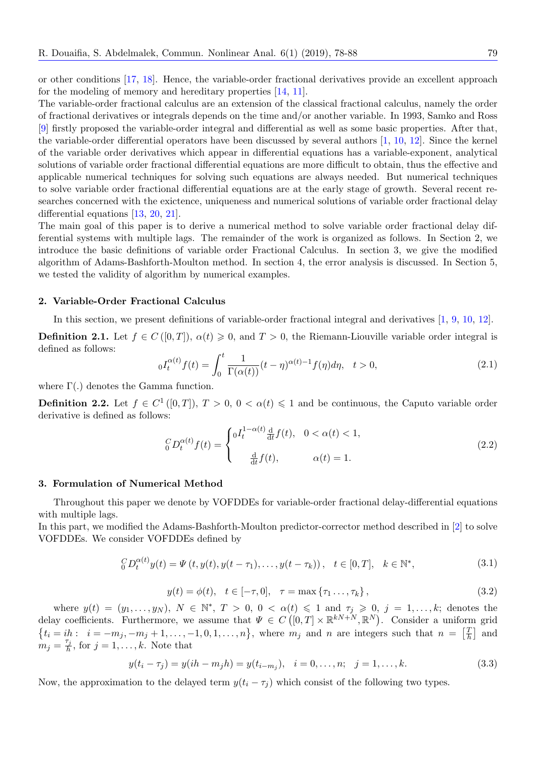or other conditions [\[17,](#page-10-6) [18\]](#page-10-7). Hence, the variable-order fractional derivatives provide an excellent approach for the modeling of memory and hereditary properties [\[14,](#page-10-8) [11\]](#page-10-9).

The variable-order fractional calculus are an extension of the classical fractional calculus, namely the order of fractional derivatives or integrals depends on the time and/or another variable. In 1993, Samko and Ross [\[9\]](#page-10-10) firstly proposed the variable-order integral and differential as well as some basic properties. After that, the variable-order differential operators have been discussed by several authors [\[1,](#page-10-11) [10,](#page-10-12) [12\]](#page-10-13). Since the kernel of the variable order derivatives which appear in differential equations has a variable-exponent, analytical solutions of variable order fractional differential equations are more difficult to obtain, thus the effective and applicable numerical techniques for solving such equations are always needed. But numerical techniques to solve variable order fractional differential equations are at the early stage of growth. Several recent researches concerned with the exictence, uniqueness and numerical solutions of variable order fractional delay differential equations [\[13,](#page-10-14) [20,](#page-10-15) [21\]](#page-10-16).

The main goal of this paper is to derive a numerical method to solve variable order fractional delay differential systems with multiple lags. The remainder of the work is organized as follows. In Section 2, we introduce the basic definitions of variable order Fractional Calculus. In section 3, we give the modified algorithm of Adams-Bashforth-Moulton method. In section 4, the error analysis is discussed. In Section 5, we tested the validity of algorithm by numerical examples.

### <span id="page-1-3"></span>2. Variable-Order Fractional Calculus

In this section, we present definitions of variable-order fractional integral and derivatives [\[1,](#page-10-11) [9,](#page-10-10) [10,](#page-10-12) [12\]](#page-10-13).

**Definition 2.1.** Let  $f \in C([0,T])$ ,  $\alpha(t) \geq 0$ , and  $T > 0$ , the Riemann-Liouville variable order integral is defined as follows:

$$
{}_{0}I_{t}^{\alpha(t)}f(t) = \int_{0}^{t} \frac{1}{\Gamma(\alpha(t))}(t-\eta)^{\alpha(t)-1}f(\eta)d\eta, \quad t > 0,
$$
\n(2.1)

where  $\Gamma(.)$  denotes the Gamma function.

**Definition 2.2.** Let  $f \in C^1([0,T])$ ,  $T > 0$ ,  $0 < \alpha(t) \leq 1$  and be continuous, the Caputo variable order derivative is defined as follows:

$$
{}_{0}^{C}D_{t}^{\alpha(t)}f(t) = \begin{cases} 0I_{t}^{1-\alpha(t)}\frac{d}{dt}f(t), & 0 < \alpha(t) < 1, \\ \frac{d}{dt}f(t), & \alpha(t) = 1. \end{cases}
$$
(2.2)

#### <span id="page-1-4"></span>3. Formulation of Numerical Method

Throughout this paper we denote by VOFDDEs for variable-order fractional delay-differential equations with multiple lags.

<span id="page-1-0"></span>In this part, we modified the Adams-Bashforth-Moulton predictor-corrector method described in [\[2\]](#page-10-17) to solve VOFDDEs. We consider VOFDDEs defined by

$$
{}_{0}^{C}D_{t}^{\alpha(t)}y(t) = \Psi(t, y(t), y(t - \tau_{1}), \dots, y(t - \tau_{k})), \quad t \in [0, T], \quad k \in \mathbb{N}^{*},
$$
\n(3.1)

<span id="page-1-2"></span>
$$
y(t) = \phi(t), \quad t \in [-\tau, 0], \quad \tau = \max\{\tau_1 \dots, \tau_k\},
$$
\n(3.2)

<span id="page-1-1"></span>where  $y(t) = (y_1, \ldots, y_N)$ ,  $N \in \mathbb{N}^*$ ,  $T > 0$ ,  $0 < \alpha(t) \leq 1$  and  $\tau_j \geq 0$ ,  $j = 1, \ldots, k$ ; denotes the delay coefficients. Furthermore, we assume that  $\Psi \in C([0,T] \times \mathbb{R}^{kN+N}, \mathbb{R}^N)$ . Consider a uniform grid  $\{t_i = ih: i = -m_j, -m_j + 1, \ldots, -1, 0, 1, \ldots, n\}$ , where  $m_j$  and n are integers such that  $n = \begin{bmatrix} \frac{7}{h} & 0 & 0 & 0 \\ 0 & 0 & 0 & 0 \\ 0 & 0 & 0 & 0 \\ 0 & 0 & 0 & 0 \end{bmatrix}$  $\frac{T}{h}$  and  $m_j = \frac{\tau_j}{h}$  $\frac{j_j}{h}$ , for  $j = 1, \ldots, k$ . Note that

$$
y(t_i - \tau_j) = y(ih - m_jh) = y(t_{i-m_j}), \quad i = 0, \dots, n; \quad j = 1, \dots, k.
$$
 (3.3)

Now, the approximation to the delayed term  $y(t_i - \tau_j)$  which consist of the following two types.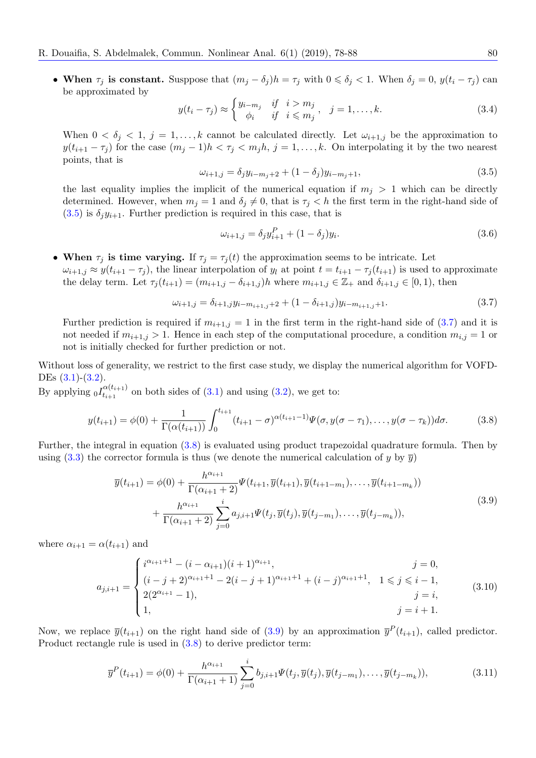• When  $\tau_j$  is constant. Susppose that  $(m_j - \delta_j)h = \tau_j$  with  $0 \le \delta_j < 1$ . When  $\delta_j = 0$ ,  $y(t_i - \tau_j)$  can be approximated by

$$
y(t_i - \tau_j) \approx \begin{cases} y_{i-m_j} & \text{if } i > m_j \\ \phi_i & \text{if } i \leqslant m_j \end{cases}, \quad j = 1, \dots, k. \tag{3.4}
$$

<span id="page-2-0"></span>When  $0 < \delta_j < 1, j = 1, \ldots, k$  cannot be calculated directly. Let  $\omega_{i+1,j}$  be the approximation to  $y(t_{i+1} - \tau_j)$  for the case  $(m_j - 1)h < \tau_j < m_j h$ ,  $j = 1, ..., k$ . On interpolating it by the two nearest points, that is

$$
\omega_{i+1,j} = \delta_j y_{i-m_j+2} + (1 - \delta_j) y_{i-m_j+1},\tag{3.5}
$$

the last equality implies the implicit of the numerical equation if  $m_j > 1$  which can be directly determined. However, when  $m_j = 1$  and  $\delta_j \neq 0$ , that is  $\tau_j < h$  the first term in the right-hand side of  $(3.5)$  is  $\delta_i y_{i+1}$ . Further prediction is required in this case, that is

<span id="page-2-1"></span>
$$
\omega_{i+1,j} = \delta_j y_{i+1}^P + (1 - \delta_j) y_i.
$$
\n(3.6)

• When  $\tau_j$  is time varying. If  $\tau_j = \tau_j(t)$  the approximation seems to be intricate. Let  $\omega_{i+1,j} \approx y(t_{i+1} - \tau_j)$ , the linear interpolation of  $y_l$  at point  $t = t_{i+1} - \tau_j(t_{i+1})$  is used to approximate the delay term. Let  $\tau_i(t_{i+1}) = (m_{i+1,j} - \delta_{i+1,j})h$  where  $m_{i+1,j} \in \mathbb{Z}_+$  and  $\delta_{i+1,j} \in [0,1)$ , then

<span id="page-2-3"></span><span id="page-2-2"></span>
$$
\omega_{i+1,j} = \delta_{i+1,j} y_{i-m_{i+1,j}+2} + (1 - \delta_{i+1,j}) y_{i-m_{i+1,j}+1}.
$$
\n(3.7)

Further prediction is required if  $m_{i+1,j} = 1$  in the first term in the right-hand side of [\(3.7\)](#page-2-1) and it is not needed if  $m_{i+1,j} > 1$ . Hence in each step of the computational procedure, a condition  $m_{i,j} = 1$  or not is initially checked for further prediction or not.

Without loss of generality, we restrict to the first case study, we display the numerical algorithm for VOFD-DEs  $(3.1)-(3.2)$  $(3.1)-(3.2)$ .

By applying  $_0I_{t_{i+1}}^{\alpha(t_{i+1})}$  $t_{i+1}^{(t_{i+1})}$  on both sides of  $(3.1)$  and using  $(3.2)$ , we get to:

$$
y(t_{i+1}) = \phi(0) + \frac{1}{\Gamma(\alpha(t_{i+1}))} \int_0^{t_{i+1}} (t_{i+1} - \sigma)^{\alpha(t_{i+1}-1)} \Psi(\sigma, y(\sigma - \tau_1), \dots, y(\sigma - \tau_k)) d\sigma.
$$
 (3.8)

Further, the integral in equation [\(3.8\)](#page-2-2) is evaluated using product trapezoidal quadrature formula. Then by using [\(3.3\)](#page-1-2) the corrector formula is thus (we denote the numerical calculation of y by  $\overline{y}$ )

$$
\overline{y}(t_{i+1}) = \phi(0) + \frac{h^{\alpha_{i+1}}}{\Gamma(\alpha_{i+1}+2)} \Psi(t_{i+1}, \overline{y}(t_{i+1}), \overline{y}(t_{i+1-m_1}), \dots, \overline{y}(t_{i+1-m_k})) \n+ \frac{h^{\alpha_{i+1}}}{\Gamma(\alpha_{i+1}+2)} \sum_{j=0}^{i} a_{j,i+1} \Psi(t_j, \overline{y}(t_j), \overline{y}(t_{j-m_1}), \dots, \overline{y}(t_{j-m_k})),
$$
\n(3.9)

where  $\alpha_{i+1} = \alpha(t_{i+1})$  and

$$
a_{j,i+1} = \begin{cases} i^{\alpha_{i+1}+1} - (i - \alpha_{i+1})(i+1)^{\alpha_{i+1}}, & j = 0, \\ (i - j + 2)^{\alpha_{i+1}+1} - 2(i - j + 1)^{\alpha_{i+1}+1} + (i - j)^{\alpha_{i+1}+1}, & 1 \le j \le i - 1, \\ 2(2^{\alpha_{i+1}} - 1), & j = i, \\ 1, & j = i + 1. \end{cases}
$$
(3.10)

Now, we replace  $\bar{y}(t_{i+1})$  on the right hand side of [\(3.9\)](#page-2-3) by an approximation  $\bar{y}^P(t_{i+1})$ , called predictor. Product rectangle rule is used in [\(3.8\)](#page-2-2) to derive predictor term:

$$
\overline{y}^{P}(t_{i+1}) = \phi(0) + \frac{h^{\alpha_{i+1}}}{\Gamma(\alpha_{i+1}+1)} \sum_{j=0}^{i} b_{j,i+1} \Psi(t_j, \overline{y}(t_j), \overline{y}(t_{j-m_1}), \dots, \overline{y}(t_{j-m_k})),
$$
\n(3.11)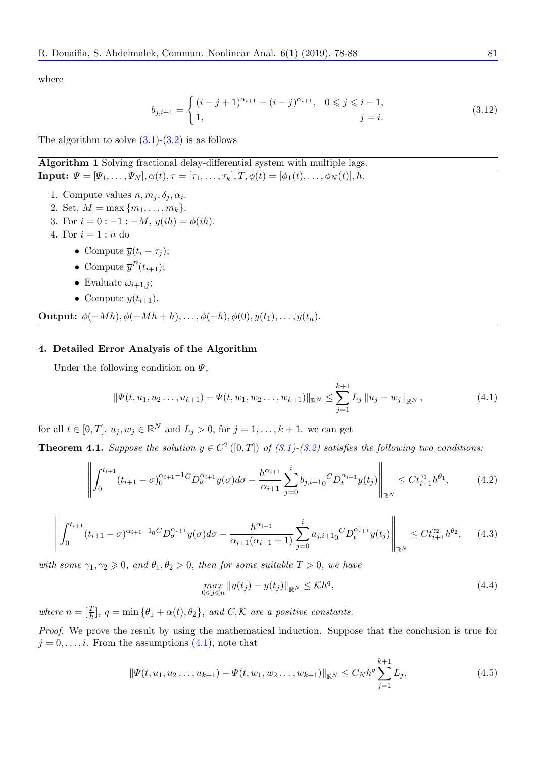where

$$
b_{j,i+1} = \begin{cases} (i-j+1)^{\alpha_{i+1}} - (i-j)^{\alpha_{i+1}}, & 0 \le j \le i-1, \\ 1, & j = i. \end{cases}
$$
 (3.12)

The algorithm to solve  $(3.1)-(3.2)$  $(3.1)-(3.2)$  is as follows

# Algorithm 1 Solving fractional delay-differential system with multiple lags.

**Input:**  $\Psi = [\Psi_1, \ldots, \Psi_N], \alpha(t), \tau = [\tau_1, \ldots, \tau_k], T, \phi(t) = [\phi_1(t), \ldots, \phi_N(t)], h.$ 

- 1. Compute values  $n, m_j, \delta_j, \alpha_i$ .
- 2. Set,  $M = \max\{m_1, \ldots, m_k\}.$
- 3. For  $i = 0 : -1 : -M$ ,  $\overline{y}(ih) = \phi(ih)$ .
- 4. For  $i = 1 : n$  do
	- Compute  $\overline{y}(t_i \tau_i);$
	- Compute  $\overline{y}^P(t_{i+1});$
	- Evaluate  $\omega_{i+1,i}$ ;
	- Compute  $\overline{y}(t_{i+1})$ .

**Output:**  $\phi(-Mh), \phi(-Mh + h), \ldots, \phi(-h), \phi(0), \overline{y}(t_1), \ldots, \overline{y}(t_n).$ 

### 4. Detailed Error Analysis of the Algorithm

Under the following condition on  $\Psi$ ,

<span id="page-3-0"></span>
$$
\|\Psi(t, u_1, u_2 \dots, u_{k+1}) - \Psi(t, w_1, w_2 \dots, w_{k+1})\|_{\mathbb{R}^N} \leq \sum_{j=1}^{k+1} L_j \|u_j - w_j\|_{\mathbb{R}^N},
$$
\n(4.1)

for all  $t \in [0, T]$ ,  $u_j, w_j \in \mathbb{R}^N$  and  $L_j > 0$ , for  $j = 1, ..., k + 1$ . we can get

**Theorem 4.1.** Suppose the solution  $y \in C^2([0,T])$  of  $(3.1)-(3.2)$  $(3.1)-(3.2)$  $(3.1)-(3.2)$  satisfies the following two conditions:

$$
\left\| \int_0^{t_{i+1}} (t_{i+1} - \sigma)_0^{\alpha_{i+1} - 1} C_D^{\alpha_{i+1}} y(\sigma) d\sigma - \frac{h^{\alpha_{i+1}}}{\alpha_{i+1}} \sum_{j=0}^i b_{j,i+1} C_D^{\alpha_{i+1}} y(t_j) \right\|_{\mathbb{R}^N} \leq C t_{i+1}^{\gamma_1} h^{\theta_1}, \tag{4.2}
$$

<span id="page-3-2"></span>
$$
\left\| \int_0^{t_{i+1}} (t_{i+1} - \sigma)^{\alpha_{i+1} - 1} \sigma D_{\sigma}^{\alpha_{i+1}} y(\sigma) d\sigma - \frac{h^{\alpha_{i+1}}}{\alpha_{i+1}(\alpha_{i+1} + 1)} \sum_{j=0}^i a_{j,i+1} \sigma D_t^{\alpha_{i+1}} y(t_j) \right\|_{\mathbb{R}^N} \leq C t_{i+1}^{\gamma_2} h^{\theta_2}, \quad (4.3)
$$

with some  $\gamma_1, \gamma_2 \geq 0$ , and  $\theta_1, \theta_2 > 0$ , then for some suitable  $T > 0$ , we have

<span id="page-3-1"></span>
$$
\max_{0 \le j \le n} \|y(t_j) - \overline{y}(t_j)\|_{\mathbb{R}^N} \le Kh^q,
$$
\n(4.4)

where  $n = \left[\frac{T}{h}\right], q = \min\left\{\theta_1 + \alpha(t), \theta_2\right\}, \text{ and } C, \mathcal{K} \text{ are a positive constants.}$ 

Proof. We prove the result by using the mathematical induction. Suppose that the conclusion is true for  $j = 0, \ldots, i$ . From the assumptions  $(4.1)$ , note that

$$
\|\Psi(t, u_1, u_2 \dots, u_{k+1}) - \Psi(t, w_1, w_2 \dots, w_{k+1})\|_{\mathbb{R}^N} \le C_N h^q \sum_{j=1}^{k+1} L_j,
$$
\n(4.5)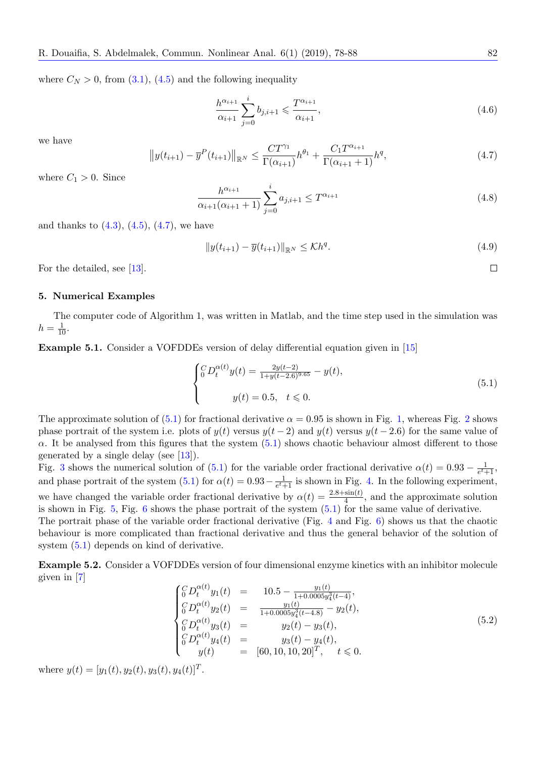where  $C_N > 0$ , from [\(3.1\)](#page-1-0), [\(4.5\)](#page-3-1) and the following inequality

$$
\frac{h^{\alpha_{i+1}}}{\alpha_{i+1}} \sum_{j=0}^{i} b_{j,i+1} \leq \frac{T^{\alpha_{i+1}}}{\alpha_{i+1}},
$$
\n(4.6)

<span id="page-4-0"></span>we have

$$
||y(t_{i+1}) - \overline{y}^{P}(t_{i+1})||_{\mathbb{R}^{N}} \leq \frac{CT^{\gamma_{1}}}{\Gamma(\alpha_{i+1})}h^{\theta_{1}} + \frac{C_{1}T^{\alpha_{i+1}}}{\Gamma(\alpha_{i+1}+1)}h^{q}, \qquad (4.7)
$$

where  $C_1 > 0$ . Since

$$
\frac{h^{\alpha_{i+1}}}{\alpha_{i+1}(\alpha_{i+1}+1)} \sum_{j=0}^{i} a_{j,i+1} \le T^{\alpha_{i+1}}
$$
\n(4.8)

and thanks to  $(4.3)$ ,  $(4.5)$ ,  $(4.7)$ , we have

<span id="page-4-4"></span>
$$
||y(t_{i+1}) - \overline{y}(t_{i+1})||_{\mathbb{R}^N} \leq \mathcal{K}h^q.
$$
\n(4.9)

For the detailed, see [\[13\]](#page-10-14).

### 5. Numerical Examples

The computer code of Algorithm 1, was written in Matlab, and the time step used in the simulation was  $h = \frac{1}{10}$ .

<span id="page-4-5"></span>Example 5.1. Consider a VOFDDEs version of delay differential equation given in [\[15\]](#page-10-18)

$$
\begin{cases} {}^{C}_{0}D_{t}^{\alpha(t)}y(t) = \frac{2y(t-2)}{1+y(t-2.6)^{9.65}} - y(t), \\ y(t) = 0.5, \quad t \leq 0. \end{cases}
$$
 (5.1)

The approximate solution of [\(5.1\)](#page-4-1) for fractional derivative  $\alpha = 0.95$  is shown in Fig. [1,](#page-5-0) whereas Fig. [2](#page-5-1) shows phase portrait of the system i.e. plots of  $y(t)$  versus  $y(t-2)$  and  $y(t)$  versus  $y(t-2.6)$  for the same value of  $\alpha$ . It be analysed from this figures that the system [\(5.1\)](#page-4-1) shows chaotic behaviour almost different to those generated by a single delay (see [\[13\]](#page-10-14)).

Fig. [3](#page-6-0) shows the numerical solution of [\(5.1\)](#page-4-1) for the variable order fractional derivative  $\alpha(t) = 0.93 - \frac{1}{e^t + 1.500}$  $\frac{1}{e^{t}+1}$ and phase portrait of the system [\(5.1\)](#page-4-1) for  $\alpha(t) = 0.93 - \frac{1}{e^t}$  $\frac{1}{e^t+1}$  is shown in Fig. [4.](#page-6-1) In the following experiment, we have changed the variable order fractional derivative by  $\alpha(t) = \frac{2.8 + \sin(t)}{4}$ , and the approximate solution is shown in Fig.  $5$ , Fig. [6](#page-7-1) shows the phase portrait of the system  $(5.1)$  for the same value of derivative. The portrait phase of the variable order fractional derivative (Fig. [4](#page-6-1) and Fig. [6\)](#page-7-1) shows us that the chaotic

behaviour is more complicated than fractional derivative and thus the general behavior of the solution of system [\(5.1\)](#page-4-1) depends on kind of derivative.

<span id="page-4-3"></span><span id="page-4-2"></span>Example 5.2. Consider a VOFDDEs version of four dimensional enzyme kinetics with an inhibitor molecule given in [\[7\]](#page-10-19)

$$
\begin{cases}\n\int_{0}^{C} D_{t}^{\alpha(t)} y_{1}(t) = 10.5 - \frac{y_{1}(t)}{1+0.0005y_{4}^{3}(t-4)},\\ \n\int_{0}^{C} D_{t}^{\alpha(t)} y_{2}(t) = \frac{y_{1}(t)}{1+0.0005y_{4}^{3}(t-4.8)} - y_{2}(t),\\ \n\int_{0}^{C} D_{t}^{\alpha(t)} y_{3}(t) = y_{2}(t) - y_{3}(t),\\ \n\int_{0}^{C} D_{t}^{\alpha(t)} y_{4}(t) = y_{3}(t) - y_{4}(t),\\ \ny(t) = [60, 10, 10, 20]^{T}, \quad t \leq 0.\n\end{cases} (5.2)
$$

where  $y(t) = [y_1(t), y_2(t), y_3(t), y_4(t)]^T$ .

<span id="page-4-1"></span> $\Box$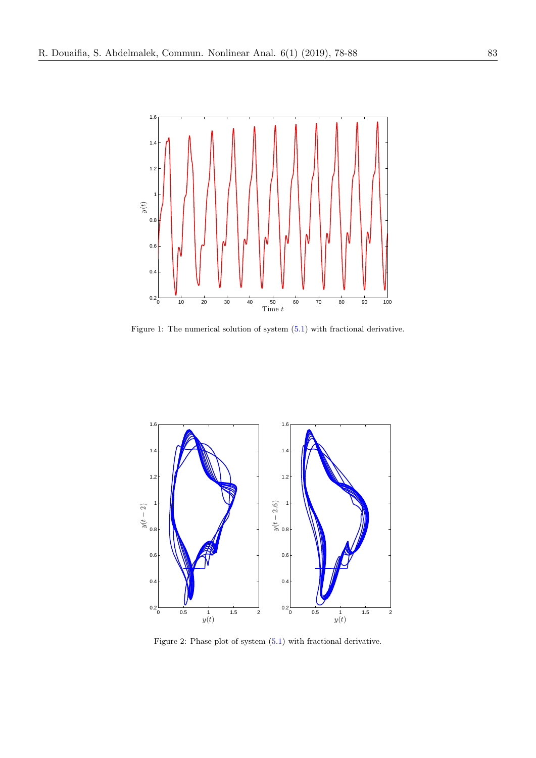

<span id="page-5-0"></span>Figure 1: The numerical solution of system [\(5.1\)](#page-4-1) with fractional derivative.



<span id="page-5-1"></span>Figure 2: Phase plot of system [\(5.1\)](#page-4-1) with fractional derivative.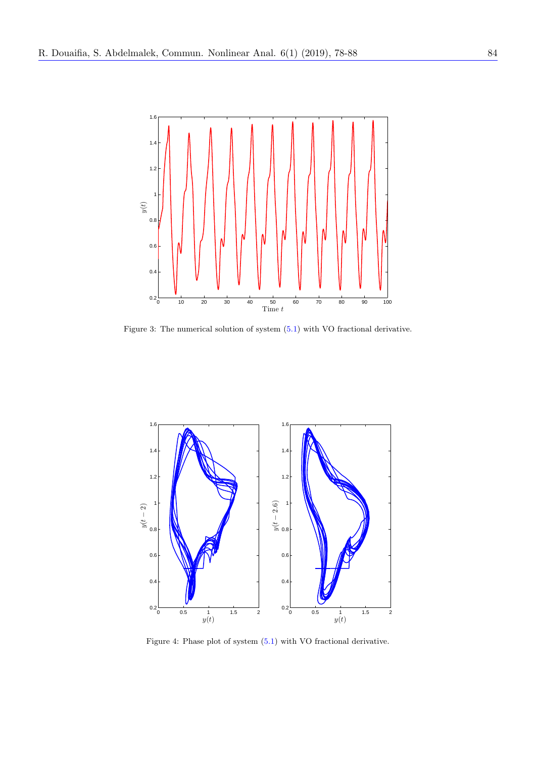

<span id="page-6-0"></span>Figure 3: The numerical solution of system [\(5.1\)](#page-4-1) with VO fractional derivative.



<span id="page-6-1"></span>Figure 4: Phase plot of system [\(5.1\)](#page-4-1) with VO fractional derivative.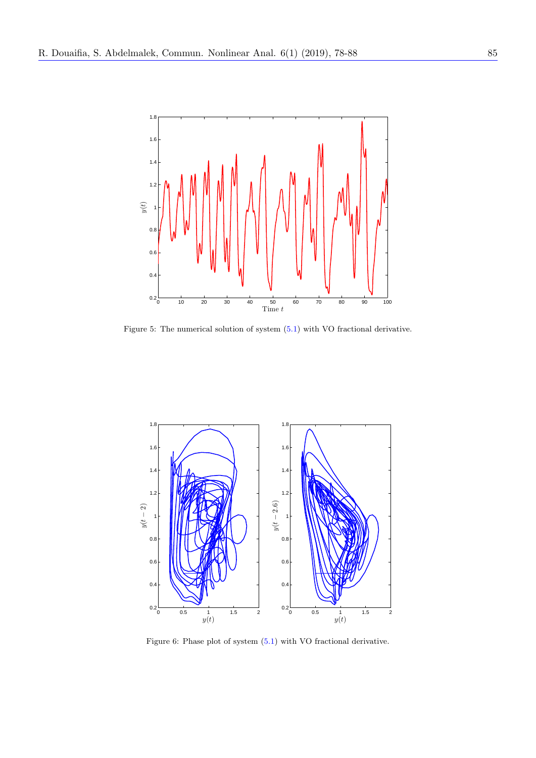

<span id="page-7-0"></span>Figure 5: The numerical solution of system [\(5.1\)](#page-4-1) with VO fractional derivative.



<span id="page-7-1"></span>Figure 6: Phase plot of system [\(5.1\)](#page-4-1) with VO fractional derivative.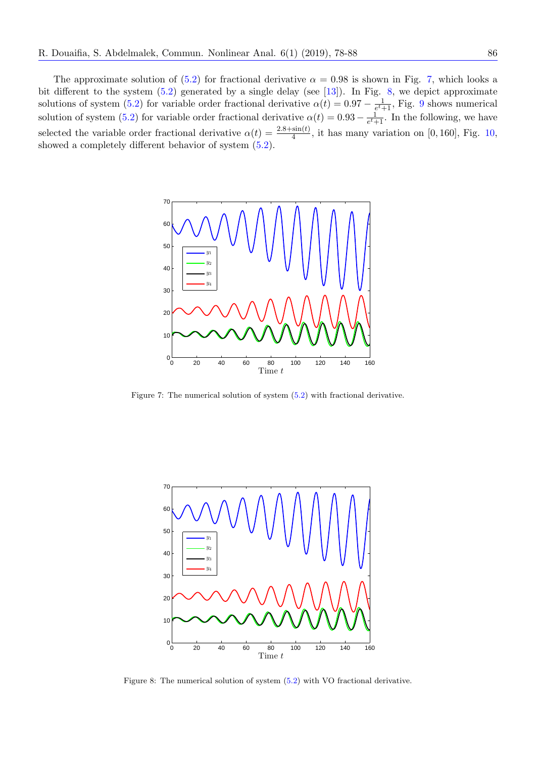The approximate solution of [\(5.2\)](#page-4-2) for fractional derivative  $\alpha = 0.98$  is shown in Fig. [7,](#page-8-0) which looks a bit different to the system  $(5.2)$  generated by a single delay (see [\[13\]](#page-10-14)). In Fig. [8,](#page-8-1) we depict approximate solutions of system [\(5.2\)](#page-4-2) for variable order fractional derivative  $\alpha(t) = 0.97 - \frac{1}{e^{t-1}}$  $\frac{1}{e^t+1}$ , Fig. [9](#page-9-0) shows numerical solution of system [\(5.2\)](#page-4-2) for variable order fractional derivative  $\alpha(t) = 0.93 - \frac{1}{e^{t}+1}$  $\frac{1}{e^t+1}$ . In the following, we have selected the variable order fractional derivative  $\alpha(t) = \frac{2.8 + \sin(t)}{4}$ , it has many variation on [0, 160], Fig. [10,](#page-9-1) showed a completely different behavior of system [\(5.2\)](#page-4-2).



<span id="page-8-0"></span>Figure 7: The numerical solution of system [\(5.2\)](#page-4-2) with fractional derivative.



<span id="page-8-1"></span>Figure 8: The numerical solution of system [\(5.2\)](#page-4-2) with VO fractional derivative.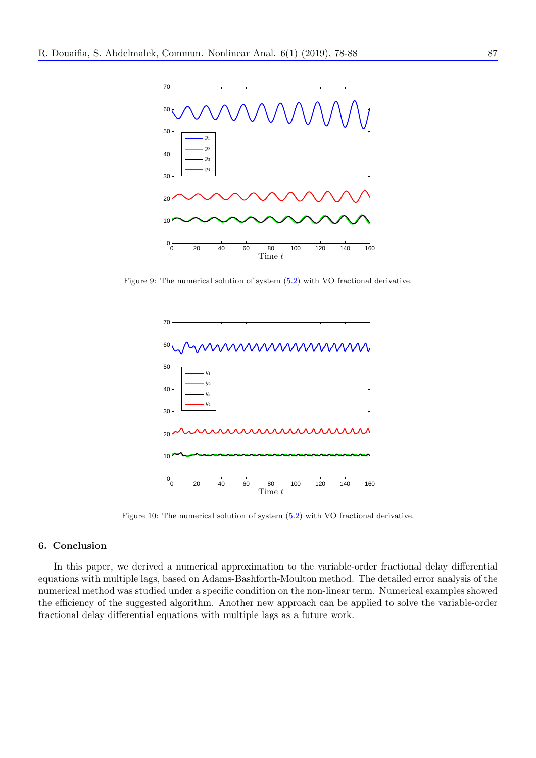

Figure 9: The numerical solution of system [\(5.2\)](#page-4-2) with VO fractional derivative.

<span id="page-9-0"></span>

<span id="page-9-1"></span>Figure 10: The numerical solution of system [\(5.2\)](#page-4-2) with VO fractional derivative.

# 6. Conclusion

In this paper, we derived a numerical approximation to the variable-order fractional delay differential equations with multiple lags, based on Adams-Bashforth-Moulton method. The detailed error analysis of the numerical method was studied under a specific condition on the non-linear term. Numerical examples showed the efficiency of the suggested algorithm. Another new approach can be applied to solve the variable-order fractional delay differential equations with multiple lags as a future work.